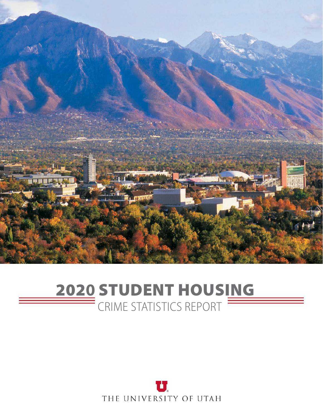

#### 202**0** STUDENT HOUSING CRIME STATISTICS REPORT

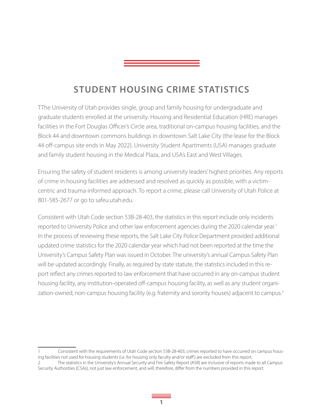#### **STUDENT HOUSING CRIME STATISTICS**

TThe University of Utah provides single, group and family housing for undergraduate and graduate students enrolled at the university. Housing and Residential Education (HRE) manages facilities in the Fort Douglas Officer's Circle area, traditional on-campus housing facilities, and the Block 44 and downtown commons buildings in downtown Salt Lake City (the lease for the Block 44 off-campus site ends in May 2022). University Student Apartments (USA) manages graduate and family student housing in the Medical Plaza, and USA's East and West Villages.

Ensuring the safety of student residents is among university leaders' highest priorities. Any reports of crime in housing facilities are addressed and resolved as quickly as possible, with a victimcentric and trauma-informed approach. To report a crime, please call University of Utah Police at 801-585-2677 or go to safeu.utah.edu.

Consistent with Utah Code section 53B-28-403, the statistics in this report include only incidents reported to University Police and other law enforcement agencies during the 2020 calendar year.<sup>1</sup> In the process of reviewing these reports, the Salt Lake City Police Department provided additional updated crime statistics for the 2020 calendar year which had not been reported at the time the University's Campus Safety Plan was issued in October. The university's annual Campus Safety Plan will be updated accordingly. Finally, as required by state statute, the statistics included in this report reflect any crimes reported to law enforcement that have occurred in any on-campus student housing facility, any institution-operated off-campus housing facility, as well as any student organization-owned, non-campus housing facility (e.g. fraternity and sorority houses) adjacent to campus.<sup>2</sup>

Consistent with the requirements of Utah Code section 53B-28-403, crimes reported to have occurred on campus housing facilities not used for housing students (i.e. for housing only faculty and/or staff ) are excluded from this report.

<sup>2</sup> The statistics in the University's Annual Security and Fire Safety Report (ASR) are inclusive of reports made to all Campus Security Authorities (CSAs), not just law enforcement, and will, therefore, differ from the numbers provided in this report.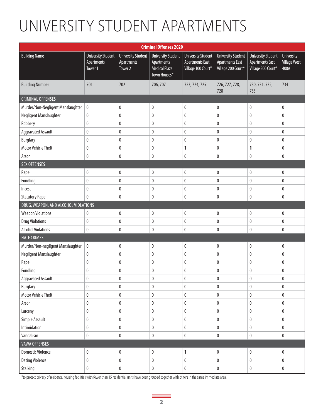## UNIVERSITY STUDENT APARTMENTS

| <b>Criminal Offenses 2020</b>        |                                                    |                                                               |                                                                                 |                                                                           |                                                                           |                                                                           |                                                  |  |  |  |  |
|--------------------------------------|----------------------------------------------------|---------------------------------------------------------------|---------------------------------------------------------------------------------|---------------------------------------------------------------------------|---------------------------------------------------------------------------|---------------------------------------------------------------------------|--------------------------------------------------|--|--|--|--|
| <b>Building Name</b>                 | <b>University Student</b><br>Apartments<br>Tower 1 | <b>University Student</b><br>Apartments<br>Tower <sub>2</sub> | <b>University Student</b><br>Apartments<br><b>Medical Plaza</b><br>Town Houses* | <b>University Student</b><br><b>Apartments East</b><br>Village 100 Court* | <b>University Student</b><br><b>Apartments East</b><br>Village 200 Court* | <b>University Student</b><br><b>Apartments East</b><br>Village 300 Court* | <b>University</b><br><b>Village West</b><br>400A |  |  |  |  |
| <b>Building Number</b>               | 701                                                | 702                                                           | 706,707                                                                         | 723, 724, 725                                                             | 726, 727, 728,<br>728                                                     | 730, 731, 732,<br>733                                                     | 734                                              |  |  |  |  |
| <b>CRIMINAL OFFENSES</b>             |                                                    |                                                               |                                                                                 |                                                                           |                                                                           |                                                                           |                                                  |  |  |  |  |
| Murder/Non-Negligent Manslaughter    | $\pmb{0}$                                          | 0                                                             | $\pmb{0}$                                                                       | $\pmb{0}$                                                                 | $\pmb{0}$                                                                 | $\pmb{0}$                                                                 | 0                                                |  |  |  |  |
| Negligent Manslaughter               | 0                                                  | 0                                                             | 0                                                                               | $\mathbf 0$                                                               | 0                                                                         | $\mathbf{0}$                                                              | 0                                                |  |  |  |  |
| Robbery                              | $\pmb{0}$                                          | $\pmb{0}$                                                     | $\pmb{0}$                                                                       | $\pmb{0}$                                                                 | $\pmb{0}$                                                                 | $\pmb{0}$                                                                 | $\pmb{0}$                                        |  |  |  |  |
| <b>Aggravated Assault</b>            | 0                                                  | 0                                                             | $\pmb{0}$                                                                       | $\pmb{0}$                                                                 | 0                                                                         | $\mathbf 0$                                                               | 0                                                |  |  |  |  |
| <b>Burglary</b>                      | 0                                                  | 0                                                             | 0                                                                               | $\pmb{0}$                                                                 | 0                                                                         | $\mathbf 0$                                                               | 0                                                |  |  |  |  |
| <b>Motor Vehicle Theft</b>           | 0                                                  | 0                                                             | 0                                                                               | 1                                                                         | 0                                                                         | 1                                                                         | 0                                                |  |  |  |  |
| Arson                                | 0                                                  | $\pmb{0}$                                                     | 0                                                                               | $\pmb{0}$                                                                 | 0                                                                         | 0                                                                         | 0                                                |  |  |  |  |
| <b>SEX OFFENSES</b>                  |                                                    |                                                               |                                                                                 |                                                                           |                                                                           |                                                                           |                                                  |  |  |  |  |
| Rape                                 | 0                                                  | $\pmb{0}$                                                     | $\pmb{0}$                                                                       | $\pmb{0}$                                                                 | $\pmb{0}$                                                                 | 0                                                                         | $\pmb{0}$                                        |  |  |  |  |
| Fondling                             | $\pmb{0}$                                          | $\pmb{0}$                                                     | $\pmb{0}$                                                                       | $\pmb{0}$                                                                 | $\pmb{0}$                                                                 | $\pmb{0}$                                                                 | $\pmb{0}$                                        |  |  |  |  |
| Incest                               | 0                                                  | 0                                                             | 0                                                                               | $\pmb{0}$                                                                 | 0                                                                         | 0                                                                         | 0                                                |  |  |  |  |
| <b>Statutory Rape</b>                | $\mathbf{0}$                                       | 0                                                             | 0                                                                               | $\pmb{0}$                                                                 | 0                                                                         | 0                                                                         | 0                                                |  |  |  |  |
| DRUG, WEAPON, AND ALCOHOL VIOLATIONS |                                                    |                                                               |                                                                                 |                                                                           |                                                                           |                                                                           |                                                  |  |  |  |  |
| <b>Weapon Violations</b>             | 0                                                  | $\pmb{0}$                                                     | $\pmb{0}$                                                                       | $\pmb{0}$                                                                 | $\pmb{0}$                                                                 | $\pmb{0}$                                                                 | $\pmb{0}$                                        |  |  |  |  |
| <b>Drug Violations</b>               | 0                                                  | 0                                                             | 0                                                                               | $\pmb{0}$                                                                 | 0                                                                         | $\mathbf{0}$                                                              | 0                                                |  |  |  |  |
| <b>Alcohol Violations</b>            | 0                                                  | 0                                                             | 0                                                                               | $\pmb{0}$                                                                 | 0                                                                         | 0                                                                         | $\pmb{0}$                                        |  |  |  |  |
| <b>HATE CRIMES</b>                   |                                                    |                                                               |                                                                                 |                                                                           |                                                                           |                                                                           |                                                  |  |  |  |  |
| Murder/Non-negligent Manslaughter    | $\pmb{0}$                                          | 0                                                             | $\pmb{0}$                                                                       | $\pmb{0}$                                                                 | $\pmb{0}$                                                                 | $\pmb{0}$                                                                 | 0                                                |  |  |  |  |
| Negligent Manslaughter               | 0                                                  | 0                                                             | 0                                                                               | $\mathbf 0$                                                               | 0                                                                         | 0                                                                         | 0                                                |  |  |  |  |
| Rape                                 | $\pmb{0}$                                          | $\pmb{0}$                                                     | 0                                                                               | $\pmb{0}$                                                                 | 0                                                                         | $\bf{0}$                                                                  | 0                                                |  |  |  |  |
| Fondling                             | 0                                                  | 0                                                             | 0                                                                               | $\pmb{0}$                                                                 | 0                                                                         | 0                                                                         | 0                                                |  |  |  |  |
| <b>Aggravated Assault</b>            | 0                                                  | 0                                                             | $\pmb{0}$                                                                       | 0                                                                         | $\pmb{0}$                                                                 | $\pmb{0}$                                                                 | $\pmb{0}$                                        |  |  |  |  |
| <b>Burglary</b>                      | 0                                                  | $\pmb{0}$                                                     | 0                                                                               | 0                                                                         | $\pmb{0}$                                                                 | $\pmb{0}$                                                                 | 0                                                |  |  |  |  |
| Motor Vehicle Theft                  | 0                                                  | $\pmb{0}$                                                     | 0                                                                               | $\pmb{0}$                                                                 | $\pmb{0}$                                                                 | $\pmb{0}$                                                                 | 0                                                |  |  |  |  |
| Arson                                | 0                                                  | 0                                                             | 0                                                                               | $\mathbf{0}$                                                              | $\pmb{0}$                                                                 | $\mathbf 0$                                                               | 0                                                |  |  |  |  |
| Larceny                              | $\pmb{0}$                                          | $\pmb{0}$                                                     | 0                                                                               | 0                                                                         | $\pmb{0}$                                                                 | $\pmb{0}$                                                                 | $\pmb{0}$                                        |  |  |  |  |
| Simple Assault                       | $\pmb{0}$                                          | $\pmb{0}$                                                     | $\pmb{0}$                                                                       | $\pmb{0}$                                                                 | $\pmb{0}$                                                                 | $\pmb{0}$                                                                 | $\pmb{0}$                                        |  |  |  |  |
| Intimidation                         | $\mathbf 0$                                        | $\pmb{0}$                                                     | 0                                                                               | 0                                                                         | $\pmb{0}$                                                                 | $\pmb{0}$                                                                 | 0                                                |  |  |  |  |
| Vandalism                            | $\pmb{0}$                                          | $\pmb{0}$                                                     | $\pmb{0}$                                                                       | $\pmb{0}$                                                                 | $\pmb{0}$                                                                 | $\pmb{0}$                                                                 | $\pmb{0}$                                        |  |  |  |  |
| <b>VAWA OFFENSES</b>                 |                                                    |                                                               |                                                                                 |                                                                           |                                                                           |                                                                           |                                                  |  |  |  |  |
| <b>Domestic Violence</b>             | 0                                                  | 0                                                             | $\pmb{0}$                                                                       | 1                                                                         | $\pmb{0}$                                                                 | $\pmb{0}$                                                                 | $\mathbf{0}$                                     |  |  |  |  |
| <b>Dating Violence</b>               | $\pmb{0}$                                          | $\pmb{0}$                                                     | $\pmb{0}$                                                                       | $\pmb{0}$                                                                 | $\pmb{0}$                                                                 | $\pmb{0}$                                                                 | $\pmb{0}$                                        |  |  |  |  |
| Stalking                             | $\pmb{0}$                                          | $\pmb{0}$                                                     | $\pmb{0}$                                                                       | $\pmb{0}$                                                                 | $\pmb{0}$                                                                 | $\pmb{0}$                                                                 | $\pmb{0}$                                        |  |  |  |  |

\*to protect privacy of residents, housing facilities with fewer than 15 residential units have been grouped together with others in the same immediate area.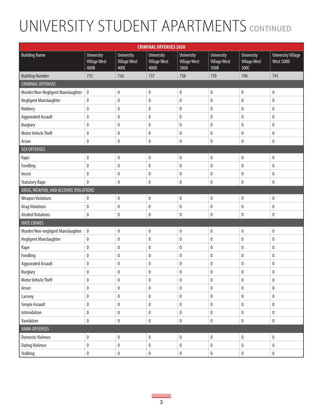|                                      |                                                  |                                                  | <b>CRIMINAL OFFENSES 2020</b>             |                                                  |                                                  |                                                  |                                        |
|--------------------------------------|--------------------------------------------------|--------------------------------------------------|-------------------------------------------|--------------------------------------------------|--------------------------------------------------|--------------------------------------------------|----------------------------------------|
| <b>Building Name</b>                 | <b>University</b><br><b>Village West</b><br>400B | <b>University</b><br><b>Village West</b><br>400C | University<br><b>Village West</b><br>400D | <b>University</b><br><b>Village West</b><br>500A | <b>University</b><br><b>Village West</b><br>500B | <b>University</b><br><b>Village West</b><br>500C | <b>University Village</b><br>West 500D |
| <b>Building Number</b>               | 735                                              | 736                                              | 737                                       | 738                                              | 739                                              | 740                                              | 741                                    |
| <b>CRIMINAL OFFENSES</b>             |                                                  |                                                  |                                           |                                                  |                                                  |                                                  |                                        |
| Murder/Non-Negligent Manslaughter    | $\pmb{0}$                                        | $\pmb{0}$                                        | $\pmb{0}$                                 | $\pmb{0}$                                        | $\pmb{0}$                                        | $\pmb{0}$                                        | 0                                      |
| Negligent Manslaughter               | $\pmb{0}$                                        | $\pmb{0}$                                        | $\pmb{0}$                                 | $\pmb{0}$                                        | $\pmb{0}$                                        | $\pmb{0}$                                        | $\pmb{0}$                              |
| Robbery                              | $\pmb{0}$                                        | $\pmb{0}$                                        | $\pmb{0}$                                 | $\pmb{0}$                                        | $\pmb{0}$                                        | $\pmb{0}$                                        | $\pmb{0}$                              |
| <b>Aggravated Assault</b>            | $\pmb{0}$                                        | $\pmb{0}$                                        | $\pmb{0}$                                 | 0                                                | $\mathbf 0$                                      | $\mathbf 0$                                      | 0                                      |
| <b>Burglary</b>                      | $\pmb{0}$                                        | $\pmb{0}$                                        | $\pmb{0}$                                 | $\pmb{0}$                                        | $\pmb{0}$                                        | $\pmb{0}$                                        | $\pmb{0}$                              |
| <b>Motor Vehicle Theft</b>           | $\mathbf 0$                                      | $\pmb{0}$                                        | $\pmb{0}$                                 | 0                                                | $\mathbf 0$                                      | $\mathbf{0}$                                     | $\pmb{0}$                              |
| Arson                                | $\pmb{0}$                                        | $\pmb{0}$                                        | $\pmb{0}$                                 | $\pmb{0}$                                        | $\pmb{0}$                                        | $\mathbf 0$                                      | 0                                      |
| <b>SEX OFFENSES</b>                  |                                                  |                                                  |                                           |                                                  |                                                  |                                                  |                                        |
| Rape                                 | $\pmb{0}$                                        | $\pmb{0}$                                        | $\pmb{0}$                                 | $\pmb{0}$                                        | $\pmb{0}$                                        | $\pmb{0}$                                        | $\pmb{0}$                              |
| Fondling                             | $\pmb{0}$                                        | $\pmb{0}$                                        | $\pmb{0}$                                 | $\pmb{0}$                                        | $\pmb{0}$                                        | $\pmb{0}$                                        | $\pmb{0}$                              |
| Incest                               | $\mathbf 0$                                      | 0                                                | 0                                         | 0                                                | $\mathbf 0$                                      | $\mathbf{0}$                                     | $\pmb{0}$                              |
| <b>Statutory Rape</b>                | $\pmb{0}$                                        | $\pmb{0}$                                        | $\pmb{0}$                                 | $\pmb{0}$                                        | $\pmb{0}$                                        | $\pmb{0}$                                        | $\pmb{0}$                              |
| DRUG, WEAPON, AND ALCOHOL VIOLATIONS |                                                  |                                                  |                                           |                                                  |                                                  |                                                  |                                        |
| <b>Weapon Violations</b>             | 0                                                | $\pmb{0}$                                        | $\pmb{0}$                                 | $\pmb{0}$                                        | $\pmb{0}$                                        | $\pmb{0}$                                        | $\pmb{0}$                              |
| <b>Drug Violations</b>               | $\pmb{0}$                                        | $\pmb{0}$                                        | $\pmb{0}$                                 | $\pmb{0}$                                        | $\pmb{0}$                                        | $\pmb{0}$                                        | $\pmb{0}$                              |
| <b>Alcohol Violations</b>            | $\pmb{0}$                                        | $\pmb{0}$                                        | $\pmb{0}$                                 | $\pmb{0}$                                        | $\pmb{0}$                                        | $\mathbf 0$                                      | $\pmb{0}$                              |
| <b>HATE CRIMES</b>                   |                                                  |                                                  |                                           |                                                  |                                                  |                                                  |                                        |
| Murder/Non-negligent Manslaughter    | $\pmb{0}$                                        | $\pmb{0}$                                        | $\pmb{0}$                                 | $\pmb{0}$                                        | $\pmb{0}$                                        | $\pmb{0}$                                        | $\pmb{0}$                              |
| Negligent Manslaughter               | $\pmb{0}$                                        | $\pmb{0}$                                        | $\pmb{0}$                                 | $\pmb{0}$                                        | $\pmb{0}$                                        | $\pmb{0}$                                        | $\pmb{0}$                              |
| Rape                                 | $\pmb{0}$                                        | $\pmb{0}$                                        | $\pmb{0}$                                 | $\pmb{0}$                                        | $\pmb{0}$                                        | $\pmb{0}$                                        | $\pmb{0}$                              |
| Fondling                             | $\pmb{0}$                                        | $\pmb{0}$                                        | $\pmb{0}$                                 | $\pmb{0}$                                        | $\pmb{0}$                                        | $\pmb{0}$                                        | $\pmb{0}$                              |
| <b>Aggravated Assault</b>            | $\pmb{0}$                                        | $\pmb{0}$                                        | $\pmb{0}$                                 | $\pmb{0}$                                        | $\pmb{0}$                                        | $\pmb{0}$                                        | $\pmb{0}$                              |
| <b>Burglary</b>                      | 0                                                | 0                                                | 0                                         | 0                                                | 0                                                | $\mathbf{0}$                                     | 0                                      |
| Motor Vehicle Theft                  | 0                                                | 0                                                | 0                                         | 0                                                | 0                                                | 0                                                | 0                                      |
| Arson                                | $\pmb{0}$                                        | $\pmb{0}$                                        | $\pmb{0}$                                 | $\pmb{0}$                                        | $\pmb{0}$                                        | $\pmb{0}$                                        | $\pmb{0}$                              |
| Larceny                              | $\pmb{0}$                                        | $\pmb{0}$                                        | $\pmb{0}$                                 | $\pmb{0}$                                        | $\pmb{0}$                                        | $\pmb{0}$                                        | $\pmb{0}$                              |
| Simple Assault                       | $\pmb{0}$                                        | $\pmb{0}$                                        | $\pmb{0}$                                 | $\pmb{0}$                                        | $\pmb{0}$                                        | $\pmb{0}$                                        | $\pmb{0}$                              |
| Intimidation                         | $\pmb{0}$                                        | $\pmb{0}$                                        | $\pmb{0}$                                 | $\pmb{0}$                                        | $\pmb{0}$                                        | $\pmb{0}$                                        | $\pmb{0}$                              |
| Vandalism                            | $\pmb{0}$                                        | $\pmb{0}$                                        | $\pmb{0}$                                 | $\pmb{0}$                                        | $\pmb{0}$                                        | $\pmb{0}$                                        | $\pmb{0}$                              |
| <b>VAWA OFFENSES</b>                 |                                                  |                                                  |                                           |                                                  |                                                  |                                                  |                                        |
| <b>Domestic Violence</b>             | $\pmb{0}$                                        | $\pmb{0}$                                        | $\pmb{0}$                                 | $\pmb{0}$                                        | $\pmb{0}$                                        | $\pmb{0}$                                        | $\pmb{0}$                              |
| <b>Dating Violence</b>               | $\pmb{0}$                                        | $\pmb{0}$                                        | $\pmb{0}$                                 | $\pmb{0}$                                        | $\pmb{0}$                                        | $\pmb{0}$                                        | $\pmb{0}$                              |
| Stalking                             | $\pmb{0}$                                        | $\pmb{0}$                                        | $\pmb{0}$                                 | $\pmb{0}$                                        | $\pmb{0}$                                        | $\pmb{0}$                                        | $\pmb{0}$                              |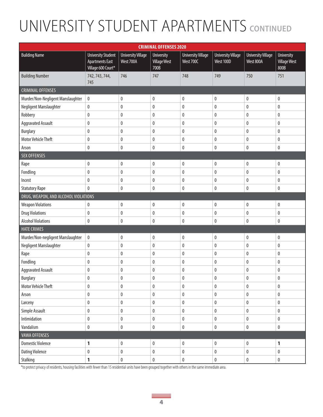| <b>CRIMINAL OFFENSES 2020</b>        |                                                                           |                                        |                                                  |                                        |                                        |                                        |                                                  |  |  |  |  |
|--------------------------------------|---------------------------------------------------------------------------|----------------------------------------|--------------------------------------------------|----------------------------------------|----------------------------------------|----------------------------------------|--------------------------------------------------|--|--|--|--|
| <b>Building Name</b>                 | <b>University Student</b><br><b>Apartments East</b><br>Village 600 Court* | <b>University Village</b><br>West 700A | <b>University</b><br><b>Village West</b><br>700B | <b>University Village</b><br>West 700C | <b>University Village</b><br>West 100D | <b>University Village</b><br>West 800A | <b>University</b><br><b>Village West</b><br>800B |  |  |  |  |
| <b>Building Number</b>               | 742, 743, 744,<br>745                                                     | 746                                    | 747                                              | 748                                    | 749                                    | 750                                    | 751                                              |  |  |  |  |
| <b>CRIMINAL OFFENSES</b>             |                                                                           |                                        |                                                  |                                        |                                        |                                        |                                                  |  |  |  |  |
| Murder/Non-Negligent Manslaughter    | 0                                                                         | $\pmb{0}$                              | 0                                                | 0                                      | $\pmb{0}$                              | $\mathbf{0}$                           | 0                                                |  |  |  |  |
| Negligent Manslaughter               | 0                                                                         | $\pmb{0}$                              | $\pmb{0}$                                        | 0                                      | $\pmb{0}$                              | $\pmb{0}$                              | 0                                                |  |  |  |  |
| Robbery                              | $\pmb{0}$                                                                 | $\mathbf 0$                            | $\pmb{0}$                                        | 0                                      | $\pmb{0}$                              | $\pmb{0}$                              | 0                                                |  |  |  |  |
| <b>Aggravated Assault</b>            | 0                                                                         | $\pmb{0}$                              | 0                                                | 0                                      | 0                                      | $\mathbf 0$                            | 0                                                |  |  |  |  |
| <b>Burglary</b>                      | 0                                                                         | $\pmb{0}$                              | 0                                                | 0                                      | $\pmb{0}$                              | $\boldsymbol{0}$                       | 0                                                |  |  |  |  |
| <b>Motor Vehicle Theft</b>           | 0                                                                         | $\pmb{0}$                              | 0                                                | 0                                      | $\pmb{0}$                              | $\mathbf{0}$                           | 0                                                |  |  |  |  |
| Arson                                | 0                                                                         | $\pmb{0}$                              | 0                                                | 0                                      | $\pmb{0}$                              | $\pmb{0}$                              | 0                                                |  |  |  |  |
| <b>SEX OFFENSES</b>                  |                                                                           |                                        |                                                  |                                        |                                        |                                        |                                                  |  |  |  |  |
| Rape                                 | 0                                                                         | $\pmb{0}$                              | $\pmb{0}$                                        | 0                                      | $\pmb{0}$                              | $\pmb{0}$                              | 0                                                |  |  |  |  |
| Fondling                             | 0                                                                         | $\pmb{0}$                              | $\pmb{0}$                                        | 0                                      | $\pmb{0}$                              | $\pmb{0}$                              | 0                                                |  |  |  |  |
| Incest                               | 0                                                                         | $\mathbf 0$                            | 0                                                | 0                                      | $\pmb{0}$                              | $\mathbf{0}$                           | 0                                                |  |  |  |  |
| <b>Statutory Rape</b>                | 0                                                                         | $\pmb{0}$                              | 0                                                | 0                                      | $\pmb{0}$                              | $\pmb{0}$                              | 0                                                |  |  |  |  |
| DRUG, WEAPON, AND ALCOHOL VIOLATIONS |                                                                           |                                        |                                                  |                                        |                                        |                                        |                                                  |  |  |  |  |
| <b>Weapon Violations</b>             | 0                                                                         | $\pmb{0}$                              | 0                                                | 0                                      | $\pmb{0}$                              | $\pmb{0}$                              | $\pmb{0}$                                        |  |  |  |  |
| <b>Drug Violations</b>               | $\pmb{0}$                                                                 | $\pmb{0}$                              | $\pmb{0}$                                        | 0                                      | $\pmb{0}$                              | $\pmb{0}$                              | 0                                                |  |  |  |  |
| <b>Alcohol Violations</b>            | 0                                                                         | $\pmb{0}$                              | 0                                                | 0                                      | $\pmb{0}$                              | $\mathbf{0}$                           | 0                                                |  |  |  |  |
| <b>HATE CRIMES</b>                   |                                                                           |                                        |                                                  |                                        |                                        |                                        |                                                  |  |  |  |  |
| Murder/Non-negligent Manslaughter    | 0                                                                         | $\pmb{0}$                              | 0                                                | 0                                      | $\pmb{0}$                              | $\mathbf{0}$                           | 0                                                |  |  |  |  |
| Negligent Manslaughter               | 0                                                                         | $\pmb{0}$                              | 0                                                | 0                                      | $\pmb{0}$                              | 0                                      | 0                                                |  |  |  |  |
| Rape                                 | $\pmb{0}$                                                                 | $\pmb{0}$                              | $\pmb{0}$                                        | $\pmb{0}$                              | $\pmb{0}$                              | $\pmb{0}$                              | 0                                                |  |  |  |  |
| Fondling                             | 0                                                                         | $\pmb{0}$                              | 0                                                | 0                                      | 0                                      | $\pmb{0}$                              | 0                                                |  |  |  |  |
| <b>Aggravated Assault</b>            | 0                                                                         | 0                                      | $\pmb{0}$                                        | 0                                      | $\pmb{0}$                              | $\pmb{0}$                              | 0                                                |  |  |  |  |
| Burglary                             | $\pmb{0}$                                                                 | $\pmb{0}$                              | $\pmb{0}$                                        | 0                                      | $\pmb{0}$                              | $\pmb{0}$                              | 0                                                |  |  |  |  |
| Motor Vehicle Theft                  | 0                                                                         | $\pmb{0}$                              | 0                                                | 0                                      | $\pmb{0}$                              | 0                                      | 0                                                |  |  |  |  |
| Arson                                | $\pmb{0}$                                                                 | $\pmb{0}$                              | 0                                                | 0                                      | $\pmb{0}$                              | $\pmb{0}$                              | $\pmb{0}$                                        |  |  |  |  |
| Larceny                              | 0                                                                         | 0                                      | 0                                                | 0                                      | $\pmb{0}$                              | 0                                      | $\pmb{0}$                                        |  |  |  |  |
| Simple Assault                       | $\pmb{0}$                                                                 | $\pmb{0}$                              | 0                                                | 0                                      | $\pmb{0}$                              | $\pmb{0}$                              | $\pmb{0}$                                        |  |  |  |  |
| Intimidation                         | 0                                                                         | 0                                      | 0                                                | 0                                      | $\pmb{0}$                              | $\pmb{0}$                              | $\pmb{0}$                                        |  |  |  |  |
| Vandalism                            | 0                                                                         | $\pmb{0}$                              | 0                                                | 0                                      | $\pmb{0}$                              | $\pmb{0}$                              | 0                                                |  |  |  |  |
| <b>VAWA OFFENSES</b>                 |                                                                           |                                        |                                                  |                                        |                                        |                                        |                                                  |  |  |  |  |
| <b>Domestic Violence</b>             | 1                                                                         | $\pmb{0}$                              | 0                                                | $\pmb{0}$                              | $\pmb{0}$                              | $\pmb{0}$                              | $\mathbf{1}$                                     |  |  |  |  |
| <b>Dating Violence</b>               | 0                                                                         | $\pmb{0}$                              | 0                                                | $\pmb{0}$                              | $\pmb{0}$                              | $\pmb{0}$                              | $\pmb{0}$                                        |  |  |  |  |
| Stalking                             | 1                                                                         | $\pmb{0}$                              | 0                                                | 0                                      | $\pmb{0}$                              | $\pmb{0}$                              | $\pmb{0}$                                        |  |  |  |  |

\*to protect privacy of residents, housing facilities with fewer than 15 residential units have been grouped together with others in the same immediate area.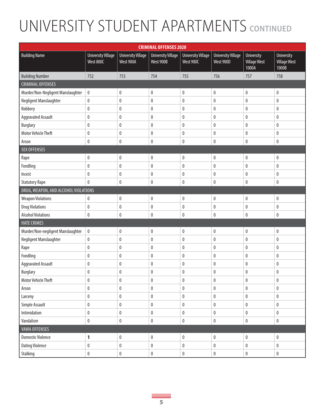|                                      | <b>CRIMINAL OFFENSES 2020</b>          |                                        |                                        |                                        |                                        |                                                   |                                                   |  |  |  |
|--------------------------------------|----------------------------------------|----------------------------------------|----------------------------------------|----------------------------------------|----------------------------------------|---------------------------------------------------|---------------------------------------------------|--|--|--|
| <b>Building Name</b>                 | <b>University Village</b><br>West 800C | <b>University Village</b><br>West 900A | <b>University Village</b><br>West 900B | <b>University Village</b><br>West 900C | <b>University Village</b><br>West 900D | <b>University</b><br><b>Village West</b><br>1000A | <b>University</b><br><b>Village West</b><br>1000B |  |  |  |
| <b>Building Number</b>               | 752                                    | 753                                    | 754                                    | 755                                    | 756                                    | 757                                               | 758                                               |  |  |  |
| <b>CRIMINAL OFFENSES</b>             |                                        |                                        |                                        |                                        |                                        |                                                   |                                                   |  |  |  |
| Murder/Non-Negligent Manslaughter    | $\pmb{0}$                              | 0                                      | $\boldsymbol{0}$                       | $\pmb{0}$                              | $\pmb{0}$                              | $\pmb{0}$                                         | 0                                                 |  |  |  |
| Negligent Manslaughter               | $\pmb{0}$                              | $\pmb{0}$                              | $\pmb{0}$                              | $\pmb{0}$                              | $\pmb{0}$                              | $\pmb{0}$                                         | 0                                                 |  |  |  |
| Robbery                              | $\pmb{0}$                              | $\pmb{0}$                              | $\pmb{0}$                              | $\pmb{0}$                              | $\pmb{0}$                              | $\pmb{0}$                                         | 0                                                 |  |  |  |
| <b>Aggravated Assault</b>            | 0                                      | 0                                      | $\mathbf{0}$                           | 0                                      | 0                                      | $\mathbf{0}$                                      | 0                                                 |  |  |  |
| <b>Burglary</b>                      | $\pmb{0}$                              | $\pmb{0}$                              | $\boldsymbol{0}$                       | 0                                      | 0                                      | $\pmb{0}$                                         | $\pmb{0}$                                         |  |  |  |
| <b>Motor Vehicle Theft</b>           | 0                                      | 0                                      | $\boldsymbol{0}$                       | $\pmb{0}$                              | 0                                      | $\bf{0}$                                          | 0                                                 |  |  |  |
| Arson                                | 0                                      | 0                                      | $\pmb{0}$                              | 0                                      | 0                                      | $\pmb{0}$                                         | 0                                                 |  |  |  |
| <b>SEX OFFENSES</b>                  |                                        |                                        |                                        |                                        |                                        |                                                   |                                                   |  |  |  |
| Rape                                 | 0                                      | $\pmb{0}$                              | $\pmb{0}$                              | $\pmb{0}$                              | 0                                      | $\pmb{0}$                                         | 0                                                 |  |  |  |
| Fondling                             | $\pmb{0}$                              | $\pmb{0}$                              | $\pmb{0}$                              | $\pmb{0}$                              | $\pmb{0}$                              | $\pmb{0}$                                         | 0                                                 |  |  |  |
| Incest                               | 0                                      | 0                                      | $\mathbf{0}$                           | 0                                      | 0                                      | $\pmb{0}$                                         | 0                                                 |  |  |  |
| <b>Statutory Rape</b>                | 0                                      | $\pmb{0}$                              | $\pmb{0}$                              | $\pmb{0}$                              | 0                                      | $\pmb{0}$                                         | 0                                                 |  |  |  |
| DRUG, WEAPON, AND ALCOHOL VIOLATIONS |                                        |                                        |                                        |                                        |                                        |                                                   |                                                   |  |  |  |
| <b>Weapon Violations</b>             | 0                                      | $\pmb{0}$                              | $\pmb{0}$                              | $\pmb{0}$                              | 0                                      | $\pmb{0}$                                         | 0                                                 |  |  |  |
| <b>Drug Violations</b>               | $\pmb{0}$                              | $\pmb{0}$                              | $\pmb{0}$                              | $\pmb{0}$                              | $\pmb{0}$                              | $\pmb{0}$                                         | $\pmb{0}$                                         |  |  |  |
| <b>Alcohol Violations</b>            | 0                                      | 0                                      | $\mathbf{0}$                           | 0                                      | 0                                      | $\pmb{0}$                                         | 0                                                 |  |  |  |
| <b>HATE CRIMES</b>                   |                                        |                                        |                                        |                                        |                                        |                                                   |                                                   |  |  |  |
| Murder/Non-negligent Manslaughter    | $\pmb{0}$                              | $\pmb{0}$                              | $\boldsymbol{0}$                       | $\pmb{0}$                              | $\pmb{0}$                              | $\pmb{0}$                                         | 0                                                 |  |  |  |
| Negligent Manslaughter               | $\pmb{0}$                              | $\pmb{0}$                              | $\pmb{0}$                              | $\pmb{0}$                              | $\pmb{0}$                              | $\pmb{0}$                                         | 0                                                 |  |  |  |
| Rape                                 | $\pmb{0}$                              | $\pmb{0}$                              | $\boldsymbol{0}$                       | $\pmb{0}$                              | $\pmb{0}$                              | $\pmb{0}$                                         | $\pmb{0}$                                         |  |  |  |
| Fondling                             | $\pmb{0}$                              | 0                                      | $\boldsymbol{0}$                       | $\pmb{0}$                              | $\pmb{0}$                              | $\bf{0}$                                          | 0                                                 |  |  |  |
| <b>Aggravated Assault</b>            | $\pmb{0}$                              | $\pmb{0}$                              | $\pmb{0}$                              | $\pmb{0}$                              | $\pmb{0}$                              | $\pmb{0}$                                         | $\pmb{0}$                                         |  |  |  |
| <b>Burglary</b>                      | 0                                      | 0                                      | $\mathbf{0}$                           | $\bf{0}$                               | 0                                      | $\mathbf 0$                                       | 0                                                 |  |  |  |
| Motor Vehicle Theft                  | 0                                      | 0                                      | 0                                      | $\bf{0}$                               | 0                                      | 0                                                 | 0                                                 |  |  |  |
| Arson                                | $\pmb{0}$                              | 0                                      | $\pmb{0}$                              | $\pmb{0}$                              | $\pmb{0}$                              | $\pmb{0}$                                         | $\pmb{0}$                                         |  |  |  |
| Larceny                              | $\pmb{0}$                              | $\pmb{0}$                              | $\pmb{0}$                              | $\pmb{0}$                              | 0                                      | $\pmb{0}$                                         | $\pmb{0}$                                         |  |  |  |
| Simple Assault                       | $\pmb{0}$                              | $\pmb{0}$                              | $\pmb{0}$                              | $\pmb{0}$                              | $\pmb{0}$                              | $\pmb{0}$                                         | $\pmb{0}$                                         |  |  |  |
| Intimidation                         | $\pmb{0}$                              | $\pmb{0}$                              | $\pmb{0}$                              | $\pmb{0}$                              | $\pmb{0}$                              | $\pmb{0}$                                         | $\pmb{0}$                                         |  |  |  |
| Vandalism                            | $\pmb{0}$                              | $\pmb{0}$                              | $\pmb{0}$                              | $\pmb{0}$                              | $\pmb{0}$                              | $\pmb{0}$                                         | $\pmb{0}$                                         |  |  |  |
| <b>VAWA OFFENSES</b>                 |                                        |                                        |                                        |                                        |                                        |                                                   |                                                   |  |  |  |
| <b>Domestic Violence</b>             | 1                                      | $\pmb{0}$                              | $\pmb{0}$                              | $\pmb{0}$                              | $\pmb{0}$                              | $\pmb{0}$                                         | $\pmb{0}$                                         |  |  |  |
| <b>Dating Violence</b>               | $\pmb{0}$                              | $\pmb{0}$                              | $\pmb{0}$                              | $\pmb{0}$                              | $\pmb{0}$                              | $\pmb{0}$                                         | $\pmb{0}$                                         |  |  |  |
| Stalking                             | $\pmb{0}$                              | $\pmb{0}$                              | $\pmb{0}$                              | $\pmb{0}$                              | $\pmb{0}$                              | $\pmb{0}$                                         | $\pmb{0}$                                         |  |  |  |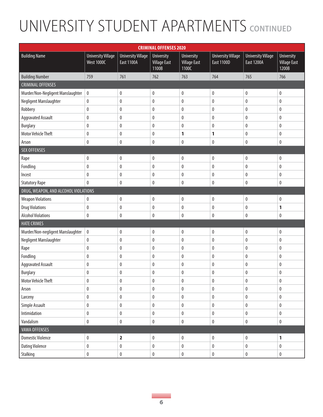| <b>CRIMINAL OFFENSES 2020</b>        |                                                |                                                |                                                   |                                            |                                                |                                                |                                                   |  |  |
|--------------------------------------|------------------------------------------------|------------------------------------------------|---------------------------------------------------|--------------------------------------------|------------------------------------------------|------------------------------------------------|---------------------------------------------------|--|--|
| <b>Building Name</b>                 | <b>University Village</b><br><b>West 1000C</b> | <b>University Village</b><br><b>East 1100A</b> | <b>University</b><br><b>Village East</b><br>1100B | University<br><b>Village East</b><br>1100C | <b>University Village</b><br><b>East 1100D</b> | <b>University Village</b><br><b>East 1200A</b> | <b>University</b><br><b>Village East</b><br>1200B |  |  |
| <b>Building Number</b>               | 759                                            | 761                                            | 762                                               | 763                                        | 764                                            | 765                                            | 766                                               |  |  |
| <b>CRIMINAL OFFENSES</b>             |                                                |                                                |                                                   |                                            |                                                |                                                |                                                   |  |  |
| Murder/Non-Negligent Manslaughter    | $\pmb{0}$                                      | $\pmb{0}$                                      | 0                                                 | $\pmb{0}$                                  | $\pmb{0}$                                      | $\pmb{0}$                                      | $\pmb{0}$                                         |  |  |
| Negligent Manslaughter               | $\pmb{0}$                                      | $\pmb{0}$                                      | $\pmb{0}$                                         | $\pmb{0}$                                  | $\pmb{0}$                                      | $\pmb{0}$                                      | $\pmb{0}$                                         |  |  |
| Robbery                              | $\pmb{0}$                                      | $\pmb{0}$                                      | 0                                                 | $\pmb{0}$                                  | $\pmb{0}$                                      | 0                                              | $\pmb{0}$                                         |  |  |
| <b>Aggravated Assault</b>            | $\pmb{0}$                                      | $\mathbf{0}$                                   | 0                                                 | 0                                          | $\bf{0}$                                       | 0                                              | $\pmb{0}$                                         |  |  |
| <b>Burglary</b>                      | $\pmb{0}$                                      | $\bf{0}$                                       | 0                                                 | $\pmb{0}$                                  | $\mathbf{0}$                                   | 0                                              | $\pmb{0}$                                         |  |  |
| <b>Motor Vehicle Theft</b>           | 0                                              | $\bf{0}$                                       | 0                                                 | 1                                          | $\mathbf{1}$                                   | 0                                              | $\pmb{0}$                                         |  |  |
| Arson                                | $\pmb{0}$                                      | $\pmb{0}$                                      | 0                                                 | $\pmb{0}$                                  | $\pmb{0}$                                      | $\pmb{0}$                                      | $\pmb{0}$                                         |  |  |
| <b>SEX OFFENSES</b>                  |                                                |                                                |                                                   |                                            |                                                |                                                |                                                   |  |  |
| Rape                                 | $\pmb{0}$                                      | $\mathbf 0$                                    | 0                                                 | $\pmb{0}$                                  | $\pmb{0}$                                      | $\pmb{0}$                                      | $\pmb{0}$                                         |  |  |
| Fondling                             | 0                                              | $\bf{0}$                                       | 0                                                 | $\pmb{0}$                                  | $\pmb{0}$                                      | 0                                              | $\pmb{0}$                                         |  |  |
| Incest                               | $\pmb{0}$                                      | $\mathbf{0}$                                   | 0                                                 | $\pmb{0}$                                  | $\mathbf{0}$                                   | 0                                              | $\pmb{0}$                                         |  |  |
| <b>Statutory Rape</b>                | $\mathbf{0}$                                   | $\pmb{0}$                                      | 0                                                 | $\pmb{0}$                                  | $\pmb{0}$                                      | $\pmb{0}$                                      | $\pmb{0}$                                         |  |  |
| DRUG, WEAPON, AND ALCOHOL VIOLATIONS |                                                |                                                |                                                   |                                            |                                                |                                                |                                                   |  |  |
| <b>Weapon Violations</b>             | 0                                              | $\mathbf 0$                                    | 0                                                 | $\pmb{0}$                                  | $\pmb{0}$                                      | $\pmb{0}$                                      | $\pmb{0}$                                         |  |  |
| <b>Drug Violations</b>               | $\pmb{0}$                                      | $\pmb{0}$                                      | $\pmb{0}$                                         | $\pmb{0}$                                  | $\pmb{0}$                                      | $\pmb{0}$                                      | 1                                                 |  |  |
| <b>Alcohol Violations</b>            | 0                                              | $\mathbf 0$                                    | 0                                                 | $\pmb{0}$                                  | $\mathbf{0}$                                   | 0                                              | $\mathbf 0$                                       |  |  |
| <b>HATE CRIMES</b>                   |                                                |                                                |                                                   |                                            |                                                |                                                |                                                   |  |  |
| Murder/Non-negligent Manslaughter    | $\pmb{0}$                                      | $\bf{0}$                                       | $\pmb{0}$                                         | $\pmb{0}$                                  | $\pmb{0}$                                      | $\pmb{0}$                                      | $\pmb{0}$                                         |  |  |
| Negligent Manslaughter               | $\pmb{0}$                                      | $\pmb{0}$                                      | 0                                                 | $\pmb{0}$                                  | $\pmb{0}$                                      | $\pmb{0}$                                      | $\pmb{0}$                                         |  |  |
| Rape                                 | $\pmb{0}$                                      | $\pmb{0}$                                      | 0                                                 | $\pmb{0}$                                  | $\pmb{0}$                                      | $\pmb{0}$                                      | $\pmb{0}$                                         |  |  |
| Fondling                             | $\pmb{0}$                                      | $\bf{0}$                                       | 0                                                 | $\pmb{0}$                                  | $\pmb{0}$                                      | 0                                              | 0                                                 |  |  |
| <b>Aggravated Assault</b>            | $\pmb{0}$                                      | $\bf{0}$                                       | 0                                                 | $\pmb{0}$                                  | $\pmb{0}$                                      | 0                                              | $\pmb{0}$                                         |  |  |
| <b>Burglary</b>                      | 0                                              | 0                                              | 0                                                 | $\pmb{0}$                                  | $\boldsymbol{0}$                               | 0                                              | $\pmb{0}$                                         |  |  |
| <b>Motor Vehicle Theft</b>           | 0                                              | 0                                              | 0                                                 | 0                                          | 0                                              | 0                                              | 0                                                 |  |  |
| Arson                                | $\pmb{0}$                                      | $\pmb{0}$                                      | $\pmb{0}$                                         | $\pmb{0}$                                  | $\pmb{0}$                                      | $\pmb{0}$                                      | $\pmb{0}$                                         |  |  |
| Larceny                              | $\pmb{0}$                                      | $\pmb{0}$                                      | 0                                                 | $\pmb{0}$                                  | $\pmb{0}$                                      | 0                                              | $\pmb{0}$                                         |  |  |
| Simple Assault                       | $\pmb{0}$                                      | $\pmb{0}$                                      | 0                                                 | $\pmb{0}$                                  | $\pmb{0}$                                      | $\pmb{0}$                                      | $\pmb{0}$                                         |  |  |
| Intimidation                         | $\pmb{0}$                                      | $\pmb{0}$                                      | 0                                                 | $\pmb{0}$                                  | $\pmb{0}$                                      | $\pmb{0}$                                      | $\pmb{0}$                                         |  |  |
| Vandalism                            | $\pmb{0}$                                      | $\pmb{0}$                                      | 0                                                 | $\pmb{0}$                                  | $\pmb{0}$                                      | $\pmb{0}$                                      | $\pmb{0}$                                         |  |  |
| <b>VAWA OFFENSES</b>                 |                                                |                                                |                                                   |                                            |                                                |                                                |                                                   |  |  |
| <b>Domestic Violence</b>             | $\pmb{0}$                                      | $\overline{\mathbf{2}}$                        | $\pmb{0}$                                         | $\pmb{0}$                                  | $\pmb{0}$                                      | $\pmb{0}$                                      | $\mathbf{1}$                                      |  |  |
| <b>Dating Violence</b>               | $\pmb{0}$                                      | $\pmb{0}$                                      | $\pmb{0}$                                         | $\pmb{0}$                                  | $\pmb{0}$                                      | $\pmb{0}$                                      | $\pmb{0}$                                         |  |  |
| Stalking                             | $\pmb{0}$                                      | $\pmb{0}$                                      | $\pmb{0}$                                         | $\pmb{0}$                                  | $\pmb{0}$                                      | $\pmb{0}$                                      | $\pmb{0}$                                         |  |  |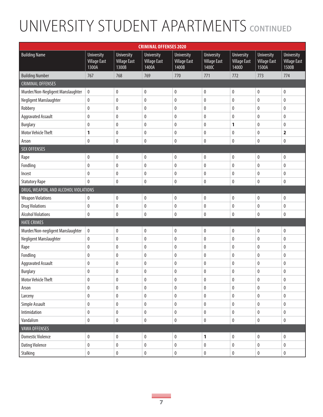| <b>CRIMINAL OFFENSES 2020</b>        |                                                   |                                                   |                                                   |                                                   |                                                   |                                                   |                                                   |                                                   |  |  |
|--------------------------------------|---------------------------------------------------|---------------------------------------------------|---------------------------------------------------|---------------------------------------------------|---------------------------------------------------|---------------------------------------------------|---------------------------------------------------|---------------------------------------------------|--|--|
| <b>Building Name</b>                 | <b>University</b><br><b>Village East</b><br>1300A | <b>University</b><br><b>Village East</b><br>1300B | <b>University</b><br><b>Village East</b><br>1400A | <b>University</b><br><b>Village East</b><br>1400B | <b>University</b><br><b>Village East</b><br>1400C | <b>University</b><br><b>Village East</b><br>1400D | <b>University</b><br><b>Village East</b><br>1500A | <b>University</b><br><b>Village East</b><br>1500B |  |  |
| <b>Building Number</b>               | 767                                               | 768                                               | 769                                               | 770                                               | 771                                               | 772                                               | 773                                               | 774                                               |  |  |
| <b>CRIMINAL OFFENSES</b>             |                                                   |                                                   |                                                   |                                                   |                                                   |                                                   |                                                   |                                                   |  |  |
| Murder/Non-Negligent Manslaughter    | 0                                                 | $\pmb{0}$                                         | $\pmb{0}$                                         | $\pmb{0}$                                         | $\pmb{0}$                                         | 0                                                 | $\pmb{0}$                                         | $\pmb{0}$                                         |  |  |
| Negligent Manslaughter               | $\pmb{0}$                                         | $\pmb{0}$                                         | $\pmb{0}$                                         | $\pmb{0}$                                         | $\pmb{0}$                                         | 0                                                 | $\pmb{0}$                                         | $\pmb{0}$                                         |  |  |
| Robbery                              | $\pmb{0}$                                         | $\bf{0}$                                          | 0                                                 | 0                                                 | 0                                                 | 0                                                 | $\pmb{0}$                                         | $\pmb{0}$                                         |  |  |
| <b>Aggravated Assault</b>            | 0                                                 | $\mathbf{0}$                                      | 0                                                 | 0                                                 | 0                                                 | 0                                                 | 0                                                 | 0                                                 |  |  |
| <b>Burglary</b>                      | $\pmb{0}$                                         | $\mathbf{0}$                                      | 0                                                 | $\mathbf 0$                                       | 0                                                 | 1                                                 | 0                                                 | $\pmb{0}$                                         |  |  |
| <b>Motor Vehicle Theft</b>           | 1                                                 | $\mathbf{0}$                                      | 0                                                 | 0                                                 | 0                                                 | 0                                                 | 0                                                 | $\overline{\mathbf{2}}$                           |  |  |
| Arson                                | 0                                                 | $\pmb{0}$                                         | 0                                                 | 0                                                 | 0                                                 | 0                                                 | $\pmb{0}$                                         | $\bf{0}$                                          |  |  |
| <b>SEX OFFENSES</b>                  |                                                   |                                                   |                                                   |                                                   |                                                   |                                                   |                                                   |                                                   |  |  |
| Rape                                 | 0                                                 | $\mathbf{0}$                                      | $\pmb{0}$                                         | $\pmb{0}$                                         | $\pmb{0}$                                         | 0                                                 | $\pmb{0}$                                         | 0                                                 |  |  |
| Fondling                             | 0                                                 | $\bf{0}$                                          | 0                                                 | $\pmb{0}$                                         | 0                                                 | 0                                                 | 0                                                 | $\mathbf{0}$                                      |  |  |
| Incest                               | 0                                                 | $\mathbf{0}$                                      | 0                                                 | $\mathbf 0$                                       | 0                                                 | 0                                                 | 0                                                 | $\bf{0}$                                          |  |  |
| <b>Statutory Rape</b>                | $\mathbf{0}$                                      | $\pmb{0}$                                         | 0                                                 | $\pmb{0}$                                         | 0                                                 | 0                                                 | $\pmb{0}$                                         | $\bf{0}$                                          |  |  |
| DRUG, WEAPON, AND ALCOHOL VIOLATIONS |                                                   |                                                   |                                                   |                                                   |                                                   |                                                   |                                                   |                                                   |  |  |
| <b>Weapon Violations</b>             | 0                                                 | $\bf{0}$                                          | $\pmb{0}$                                         | $\pmb{0}$                                         | $\pmb{0}$                                         | 0                                                 | 0                                                 | $\pmb{0}$                                         |  |  |
| <b>Drug Violations</b>               | 0                                                 | $\pmb{0}$                                         | 0                                                 | $\pmb{0}$                                         | $\pmb{0}$                                         | 0                                                 | $\pmb{0}$                                         | $\pmb{0}$                                         |  |  |
| <b>Alcohol Violations</b>            | 0                                                 | $\mathbf 0$                                       | 0                                                 | 0                                                 | 0                                                 | 0                                                 | 0                                                 | $\mathbf{0}$                                      |  |  |
| <b>HATE CRIMES</b>                   |                                                   |                                                   |                                                   |                                                   |                                                   |                                                   |                                                   |                                                   |  |  |
| Murder/Non-negligent Manslaughter    | 0                                                 | $\pmb{0}$                                         | $\pmb{0}$                                         | $\pmb{0}$                                         | $\pmb{0}$                                         | 0                                                 | $\pmb{0}$                                         | $\pmb{0}$                                         |  |  |
| Negligent Manslaughter               | 0                                                 | $\pmb{0}$                                         | 0                                                 | $\pmb{0}$                                         | 0                                                 | 0                                                 | 0                                                 | $\bf{0}$                                          |  |  |
| Rape                                 | $\pmb{0}$                                         | $\pmb{0}$                                         | 0                                                 | $\pmb{0}$                                         | $\pmb{0}$                                         | $\pmb{0}$                                         | $\pmb{0}$                                         | $\pmb{0}$                                         |  |  |
| Fondling                             | 0                                                 | $\mathbf{0}$                                      | 0                                                 | 0                                                 | 0                                                 | 0                                                 | 0                                                 | 0                                                 |  |  |
| <b>Aggravated Assault</b>            | 0                                                 | $\pmb{0}$                                         | 0                                                 | $\pmb{0}$                                         | 0                                                 | 0                                                 | 0                                                 | $\bf{0}$                                          |  |  |
| <b>Burglary</b>                      | 0                                                 | $\mathbf 0$                                       | 0                                                 | 0                                                 | 0                                                 | 0                                                 | 0                                                 | $\bf{0}$                                          |  |  |
| Motor Vehicle Theft                  | 0                                                 | 0                                                 | 0                                                 | 0                                                 | 0                                                 | 0                                                 | 0                                                 | 0                                                 |  |  |
| Arson                                | $\pmb{0}$                                         | $\pmb{0}$                                         | $\pmb{0}$                                         | $\pmb{0}$                                         | $\pmb{0}$                                         | $\pmb{0}$                                         | $\pmb{0}$                                         | $\pmb{0}$                                         |  |  |
| Larceny                              | 0                                                 | $\pmb{0}$                                         | 0                                                 | $\pmb{0}$                                         | 0                                                 | $\pmb{0}$                                         | $\pmb{0}$                                         | $\pmb{0}$                                         |  |  |
| Simple Assault                       | $\pmb{0}$                                         | $\pmb{0}$                                         | 0                                                 | $\pmb{0}$                                         | $\pmb{0}$                                         | $\pmb{0}$                                         | $\pmb{0}$                                         | $\pmb{0}$                                         |  |  |
| Intimidation                         | 0                                                 | $\pmb{0}$                                         | $\pmb{0}$                                         | $\pmb{0}$                                         | $\pmb{0}$                                         | $\pmb{0}$                                         | $\pmb{0}$                                         | $\pmb{0}$                                         |  |  |
| Vandalism                            | 0                                                 | $\pmb{0}$                                         | 0                                                 | $\pmb{0}$                                         | $\pmb{0}$                                         | 0                                                 | $\pmb{0}$                                         | $\pmb{0}$                                         |  |  |
| <b>VAWA OFFENSES</b>                 |                                                   |                                                   |                                                   |                                                   |                                                   |                                                   |                                                   |                                                   |  |  |
| <b>Domestic Violence</b>             | 0                                                 | $\pmb{0}$                                         | $\pmb{0}$                                         | $\pmb{0}$                                         | 1                                                 | $\pmb{0}$                                         | $\pmb{0}$                                         | $\pmb{0}$                                         |  |  |
| <b>Dating Violence</b>               | $\pmb{0}$                                         | $\pmb{0}$                                         | $\pmb{0}$                                         | $\pmb{0}$                                         | $\pmb{0}$                                         | $\pmb{0}$                                         | $\pmb{0}$                                         | $\pmb{0}$                                         |  |  |
| Stalking                             | $\pmb{0}$                                         | $\pmb{0}$                                         | $\bf 0$                                           | $\pmb{0}$                                         | $\pmb{0}$                                         | $\pmb{0}$                                         | $\pmb{0}$                                         | $\pmb{0}$                                         |  |  |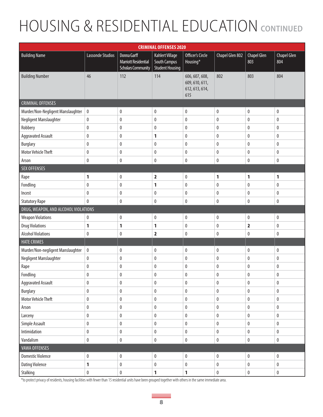# HOUSING & RESIDENTIAL EDUCATION **CONTINUED**

| <b>CRIMINAL OFFENSES 2020</b>        |                         |                                                                         |                                                                  |                                                           |                 |                         |                    |  |  |  |  |
|--------------------------------------|-------------------------|-------------------------------------------------------------------------|------------------------------------------------------------------|-----------------------------------------------------------|-----------------|-------------------------|--------------------|--|--|--|--|
| <b>Building Name</b>                 | <b>Lassonde Studios</b> | Donna Garff<br><b>Marriott Residential</b><br><b>Scholars Community</b> | Kahlert Village<br><b>South Campus</b><br><b>Student Housing</b> | Officer's Circle<br>Housing*                              | Chapel Glen 802 | Chapel Glen<br>803      | Chapel Glen<br>804 |  |  |  |  |
| <b>Building Number</b>               | 46                      | 112                                                                     | 114                                                              | 606, 607, 608,<br>609, 610, 611,<br>612, 613, 614,<br>615 | 802             | 803                     | 804                |  |  |  |  |
| <b>CRIMINAL OFFENSES</b>             |                         |                                                                         |                                                                  |                                                           |                 |                         |                    |  |  |  |  |
| Murder/Non-Negligent Manslaughter    | $\pmb{0}$               | $\pmb{0}$                                                               | $\pmb{0}$                                                        | $\pmb{0}$                                                 | $\pmb{0}$       | $\pmb{0}$               | $\pmb{0}$          |  |  |  |  |
| Negligent Manslaughter               | $\pmb{0}$               | $\pmb{0}$                                                               | $\pmb{0}$                                                        | $\pmb{0}$                                                 | $\pmb{0}$       | $\pmb{0}$               | $\pmb{0}$          |  |  |  |  |
| Robbery                              | $\pmb{0}$               | $\pmb{0}$                                                               | $\pmb{0}$                                                        | $\pmb{0}$                                                 | $\pmb{0}$       | $\pmb{0}$               | $\pmb{0}$          |  |  |  |  |
| <b>Aggravated Assault</b>            | $\pmb{0}$               | 0                                                                       | 1                                                                | $\pmb{0}$                                                 | $\pmb{0}$       | $\pmb{0}$               | 0                  |  |  |  |  |
| <b>Burglary</b>                      | $\pmb{0}$               | $\pmb{0}$                                                               | $\pmb{0}$                                                        | $\pmb{0}$                                                 | $\pmb{0}$       | $\pmb{0}$               | $\pmb{0}$          |  |  |  |  |
| <b>Motor Vehicle Theft</b>           | $\pmb{0}$               | $\pmb{0}$                                                               | $\pmb{0}$                                                        | $\pmb{0}$                                                 | $\pmb{0}$       | $\pmb{0}$               | $\pmb{0}$          |  |  |  |  |
| Arson                                | $\pmb{0}$               | $\pmb{0}$                                                               | $\pmb{0}$                                                        | $\pmb{0}$                                                 | $\pmb{0}$       | $\pmb{0}$               | $\pmb{0}$          |  |  |  |  |
| <b>SEX OFFENSES</b>                  |                         |                                                                         |                                                                  |                                                           |                 |                         |                    |  |  |  |  |
| Rape                                 | 1                       | $\pmb{0}$                                                               | $\overline{\mathbf{2}}$                                          | $\pmb{0}$                                                 | 1               | $\mathbf{1}$            | 1                  |  |  |  |  |
| Fondling                             | $\pmb{0}$               | $\pmb{0}$                                                               | 1                                                                | $\pmb{0}$                                                 | $\pmb{0}$       | $\pmb{0}$               | 0                  |  |  |  |  |
| Incest                               | $\pmb{0}$               | $\pmb{0}$                                                               | $\pmb{0}$                                                        | $\pmb{0}$                                                 | $\pmb{0}$       | $\pmb{0}$               | $\pmb{0}$          |  |  |  |  |
| <b>Statutory Rape</b>                | $\mathbf{0}$            | $\pmb{0}$                                                               | $\pmb{0}$                                                        | $\pmb{0}$                                                 | $\pmb{0}$       | $\bf{0}$                | $\pmb{0}$          |  |  |  |  |
| DRUG, WEAPON, AND ALCOHOL VIOLATIONS |                         |                                                                         |                                                                  |                                                           |                 |                         |                    |  |  |  |  |
| <b>Weapon Violations</b>             | $\pmb{0}$               | $\pmb{0}$                                                               | $\pmb{0}$                                                        | $\pmb{0}$                                                 | $\pmb{0}$       | $\pmb{0}$               | $\pmb{0}$          |  |  |  |  |
| <b>Drug Violations</b>               | 1                       | 1                                                                       | 1                                                                | $\pmb{0}$                                                 | $\pmb{0}$       | $\overline{\mathbf{2}}$ | $\pmb{0}$          |  |  |  |  |
| <b>Alcohol Violations</b>            | 0                       | 0                                                                       | $\overline{\mathbf{2}}$                                          | $\bf{0}$                                                  | 0               | $\pmb{0}$               | 0                  |  |  |  |  |
| <b>HATE CRIMES</b>                   |                         |                                                                         |                                                                  |                                                           |                 |                         |                    |  |  |  |  |
| Murder/Non-negligent Manslaughter    | $\pmb{0}$               | $\pmb{0}$                                                               | $\pmb{0}$                                                        | $\pmb{0}$                                                 | $\pmb{0}$       | $\pmb{0}$               | $\pmb{0}$          |  |  |  |  |
| Negligent Manslaughter               | $\pmb{0}$               | $\pmb{0}$                                                               | $\pmb{0}$                                                        | $\pmb{0}$                                                 | $\pmb{0}$       | $\bf{0}$                | 0                  |  |  |  |  |
| Rape                                 | $\pmb{0}$               | $\pmb{0}$                                                               | $\pmb{0}$                                                        | $\pmb{0}$                                                 | $\pmb{0}$       | $\pmb{0}$               | $\pmb{0}$          |  |  |  |  |
| Fondling                             | $\pmb{0}$               | $\pmb{0}$                                                               | $\pmb{0}$                                                        | $\pmb{0}$                                                 | 0               | $\pmb{0}$               | 0                  |  |  |  |  |
| <b>Aggravated Assault</b>            | $\pmb{0}$               | $\pmb{0}$                                                               | $\pmb{0}$                                                        | $\pmb{0}$                                                 | $\pmb{0}$       | $\pmb{0}$               | $\pmb{0}$          |  |  |  |  |
| <b>Burglary</b>                      | $\pmb{0}$               | $\pmb{0}$                                                               | $\pmb{0}$                                                        | $\pmb{0}$                                                 | $\pmb{0}$       | $\pmb{0}$               | $\pmb{0}$          |  |  |  |  |
| <b>Motor Vehicle Theft</b>           | $\pmb{0}$               | $\pmb{0}$                                                               | $\pmb{0}$                                                        | $\pmb{0}$                                                 | $\pmb{0}$       | $\pmb{0}$               | $\pmb{0}$          |  |  |  |  |
| Arson                                | $\pmb{0}$               | $\pmb{0}$                                                               | $\pmb{0}$                                                        | $\pmb{0}$                                                 | $\pmb{0}$       | $\pmb{0}$               | $\pmb{0}$          |  |  |  |  |
| Larceny                              | $\pmb{0}$               | $\pmb{0}$                                                               | $\pmb{0}$                                                        | $\pmb{0}$                                                 | $\pmb{0}$       | $\pmb{0}$               | $\pmb{0}$          |  |  |  |  |
| Simple Assault                       | $\pmb{0}$               | $\pmb{0}$                                                               | $\pmb{0}$                                                        | $\pmb{0}$                                                 | $\pmb{0}$       | $\pmb{0}$               | $\pmb{0}$          |  |  |  |  |
| Intimidation                         | $\pmb{0}$               | $\pmb{0}$                                                               | $\pmb{0}$                                                        | $\pmb{0}$                                                 | $\pmb{0}$       | $\pmb{0}$               | $\pmb{0}$          |  |  |  |  |
| Vandalism                            | $\pmb{0}$               | $\pmb{0}$                                                               | $\pmb{0}$                                                        | $\pmb{0}$                                                 | $\pmb{0}$       | $\pmb{0}$               | $\pmb{0}$          |  |  |  |  |
| <b>VAWA OFFENSES</b>                 |                         |                                                                         |                                                                  |                                                           |                 |                         |                    |  |  |  |  |
| <b>Domestic Violence</b>             | $\pmb{0}$               | $\pmb{0}$                                                               | $\pmb{0}$                                                        | $\pmb{0}$                                                 | $\pmb{0}$       | $\pmb{0}$               | $\pmb{0}$          |  |  |  |  |
| <b>Dating Violence</b>               | $\mathbf{1}$            | $\pmb{0}$                                                               | $\pmb{0}$                                                        | $\pmb{0}$                                                 | $\pmb{0}$       | $\pmb{0}$               | $\pmb{0}$          |  |  |  |  |
| Stalking                             | $\pmb{0}$               | $\pmb{0}$                                                               | 1                                                                | $\mathbf{1}$                                              | $\pmb{0}$       | $\pmb{0}$               | $\pmb{0}$          |  |  |  |  |

\*to protect privacy of residents, housing facilities with fewer than 15 residential units have been grouped together with others in the same immediate area.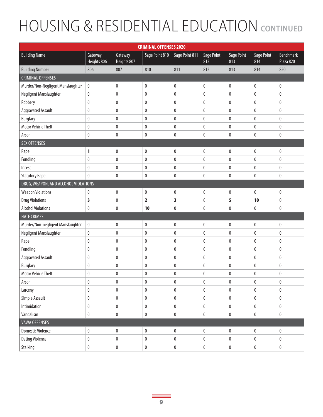# **HOUSING & RESIDENTIAL EDUCATION CONTINUED**

| <b>CRIMINAL OFFENSES 2020</b>        |                        |                        |                         |                |                          |                   |                   |                               |  |
|--------------------------------------|------------------------|------------------------|-------------------------|----------------|--------------------------|-------------------|-------------------|-------------------------------|--|
| <b>Building Name</b>                 | Gateway<br>Heights 806 | Gateway<br>Heights 807 | Sage Point 810          | Sage Point 811 | <b>Sage Point</b><br>812 | Sage Point<br>813 | Sage Point<br>814 | <b>Benchmark</b><br>Plaza 820 |  |
| <b>Building Number</b>               | 806                    | 807                    | 810                     | 811            | 812                      | 813               | 814               | 820                           |  |
| <b>CRIMINAL OFFENSES</b>             |                        |                        |                         |                |                          |                   |                   |                               |  |
| Murder/Non-Negligent Manslaughter    | $\pmb{0}$              | $\mathbf 0$            | $\bf{0}$                | 0              | $\bf{0}$                 | $\bf{0}$          | 0                 | 0                             |  |
| Negligent Manslaughter               | $\pmb{0}$              | $\pmb{0}$              | $\pmb{0}$               | 0              | $\pmb{0}$                | $\pmb{0}$         | 0                 | $\pmb{0}$                     |  |
| Robbery                              | $\pmb{0}$              | $\pmb{0}$              | $\bf{0}$                | 0              | $\mathbf{0}$             | $\bf{0}$          | 0                 | 0                             |  |
| <b>Aggravated Assault</b>            | $\pmb{0}$              | $\pmb{0}$              | $\bf{0}$                | 0              | $\mathbf{0}$             | $\bf{0}$          | 0                 | 0                             |  |
| <b>Burglary</b>                      | $\pmb{0}$              | $\pmb{0}$              | $\pmb{0}$               | 0              | $\bf{0}$                 | $\pmb{0}$         | 0                 | 0                             |  |
| <b>Motor Vehicle Theft</b>           | $\pmb{0}$              | $\pmb{0}$              | $\bf{0}$                | 0              | $\mathbf{0}$             | $\bf{0}$          | 0                 | 0                             |  |
| Arson                                | $\pmb{0}$              | $\pmb{0}$              | $\pmb{0}$               | 0              | $\pmb{0}$                | $\pmb{0}$         | 0                 | 0                             |  |
| <b>SEX OFFENSES</b>                  |                        |                        |                         |                |                          |                   |                   |                               |  |
| Rape                                 | 1                      | $\pmb{0}$              | 0                       | $\pmb{0}$      | $\pmb{0}$                | $\pmb{0}$         | 0                 | $\pmb{0}$                     |  |
| Fondling                             | $\pmb{0}$              | $\pmb{0}$              | $\pmb{0}$               | $\pmb{0}$      | $\pmb{0}$                | $\pmb{0}$         | 0                 | $\pmb{0}$                     |  |
| Incest                               | $\pmb{0}$              | $\pmb{0}$              | $\bf{0}$                | 0              | $\mathbf{0}$             | $\bf{0}$          | 0                 | 0                             |  |
| <b>Statutory Rape</b>                | $\pmb{0}$              | $\pmb{0}$              | $\pmb{0}$               | 0              | $\pmb{0}$                | $\pmb{0}$         | 0                 | $\pmb{0}$                     |  |
| DRUG, WEAPON, AND ALCOHOL VIOLATIONS |                        |                        |                         |                |                          |                   |                   |                               |  |
| <b>Weapon Violations</b>             | 0                      | $\pmb{0}$              | $\bf{0}$                | 0              | $\pmb{0}$                | $\pmb{0}$         | 0                 | 0                             |  |
| <b>Drug Violations</b>               | 3                      | $\mathbf 0$            | $\overline{\mathbf{2}}$ | 3              | $\pmb{0}$                | 5                 | 10                | $\pmb{0}$                     |  |
| <b>Alcohol Violations</b>            | $\pmb{0}$              | $\pmb{0}$              | 10                      | 0              | $\pmb{0}$                | $\pmb{0}$         | 0                 | $\pmb{0}$                     |  |
| <b>HATE CRIMES</b>                   |                        |                        |                         |                |                          |                   |                   |                               |  |
| Murder/Non-negligent Manslaughter    | $\pmb{0}$              | 0                      | $\bf{0}$                | 0              | $\bf{0}$                 | $\bf{0}$          | 0                 | 0                             |  |
| Negligent Manslaughter               | $\pmb{0}$              | $\pmb{0}$              | $\pmb{0}$               | 0              | $\pmb{0}$                | $\pmb{0}$         | 0                 | 0                             |  |
| Rape                                 | $\pmb{0}$              | $\mathbf 0$            | $\bf{0}$                | 0              | $\mathbf{0}$             | $\bf{0}$          | 0                 | 0                             |  |
| Fondling                             | $\pmb{0}$              | $\pmb{0}$              | $\bf{0}$                | 0              | $\bf{0}$                 | $\bf{0}$          | 0                 | 0                             |  |
| <b>Aggravated Assault</b>            | $\pmb{0}$              | $\pmb{0}$              | $\pmb{0}$               | $\pmb{0}$      | $\pmb{0}$                | $\pmb{0}$         | $\pmb{0}$         | $\pmb{0}$                     |  |
| <b>Burglary</b>                      | 0                      | $\pmb{0}$              | $\bf{0}$                | 0              | $\bf{0}$                 | $\bf{0}$          | 0                 | 0                             |  |
| <b>Motor Vehicle Theft</b>           | $\pmb{0}$              | $\mathbf 0$            | $\mathbf{0}$            | 0              | $\mathbf{0}$             | $\mathbf{0}$      | 0                 | 0                             |  |
| Arson                                | 0                      | 0                      | 0                       | 0              | $\bf{0}$                 | $\bf{0}$          | 0                 | 0                             |  |
| Larceny                              | $\pmb{0}$              | $\pmb{0}$              | $\pmb{0}$               | $\mathbf{0}$   | $\mathbf{0}$             | $\pmb{0}$         | $\mathbf{0}$      | $\mathbf{0}$                  |  |
| Simple Assault                       | $\pmb{0}$              | $\pmb{0}$              | $\pmb{0}$               | $\pmb{0}$      | $\pmb{0}$                | $\pmb{0}$         | $\pmb{0}$         | $\pmb{0}$                     |  |
| Intimidation                         | $\pmb{0}$              | $\pmb{0}$              | $\pmb{0}$               | $\pmb{0}$      | $\pmb{0}$                | $\pmb{0}$         | $\pmb{0}$         | $\pmb{0}$                     |  |
| Vandalism                            | $\pmb{0}$              | $\pmb{0}$              | $\pmb{0}$               | $\pmb{0}$      | $\pmb{0}$                | $\pmb{0}$         | $\pmb{0}$         | $\pmb{0}$                     |  |
| <b>VAWA OFFENSES</b>                 |                        |                        |                         |                |                          |                   |                   |                               |  |
| <b>Domestic Violence</b>             | $\pmb{0}$              | $\pmb{0}$              | $\pmb{0}$               | $\pmb{0}$      | $\pmb{0}$                | $\pmb{0}$         | $\pmb{0}$         | $\pmb{0}$                     |  |
| <b>Dating Violence</b>               | $\pmb{0}$              | $\pmb{0}$              | $\pmb{0}$               | $\pmb{0}$      | $\pmb{0}$                | $\pmb{0}$         | $\pmb{0}$         | $\pmb{0}$                     |  |
| Stalking                             | $\pmb{0}$              | $\pmb{0}$              | $\pmb{0}$               | $\pmb{0}$      | $\pmb{0}$                | $\pmb{0}$         | $\pmb{0}$         | $\pmb{0}$                     |  |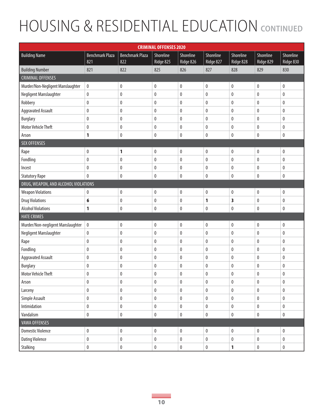# **HOUSING & RESIDENTIAL EDUCATION CONTINUED**

| <b>CRIMINAL OFFENSES 2020</b>        |                               |                               |                        |                        |                        |                        |                        |                        |  |  |
|--------------------------------------|-------------------------------|-------------------------------|------------------------|------------------------|------------------------|------------------------|------------------------|------------------------|--|--|
| <b>Building Name</b>                 | <b>Benchmark Plaza</b><br>821 | <b>Benchmark Plaza</b><br>822 | Shoreline<br>Ridge 825 | Shoreline<br>Ridge 826 | Shoreline<br>Ridge 827 | Shoreline<br>Ridge 828 | Shoreline<br>Ridge 829 | Shoreline<br>Ridge 830 |  |  |
| <b>Building Number</b>               | 821                           | 822                           | 825                    | 826                    | 827                    | 828                    | 829                    | 830                    |  |  |
| <b>CRIMINAL OFFENSES</b>             |                               |                               |                        |                        |                        |                        |                        |                        |  |  |
| Murder/Non-Negligent Manslaughter    | $\pmb{0}$                     | $\boldsymbol{0}$              | $\bf{0}$               | $\pmb{0}$              | $\pmb{0}$              | $\pmb{0}$              | 0                      | 0                      |  |  |
| Negligent Manslaughter               | $\pmb{0}$                     | $\pmb{0}$                     | $\pmb{0}$              | $\pmb{0}$              | $\pmb{0}$              | $\pmb{0}$              | $\mathbf{0}$           | 0                      |  |  |
| Robbery                              | $\pmb{0}$                     | $\mathbf{0}$                  | $\pmb{0}$              | $\pmb{0}$              | $\pmb{0}$              | 0                      | 0                      | 0                      |  |  |
| <b>Aggravated Assault</b>            | $\pmb{0}$                     | 0                             | $\bf{0}$               | $\pmb{0}$              | 0                      | 0                      | 0                      | 0                      |  |  |
| <b>Burglary</b>                      | $\pmb{0}$                     | 0                             | $\pmb{0}$              | 0                      | $\pmb{0}$              | 0                      | 0                      | 0                      |  |  |
| <b>Motor Vehicle Theft</b>           | $\bf{0}$                      | $\mathbf{0}$                  | $\pmb{0}$              | $\pmb{0}$              | $\pmb{0}$              | 0                      | 0                      | 0                      |  |  |
| Arson                                | 1                             | $\bf{0}$                      | $\bf{0}$               | $\pmb{0}$              | $\pmb{0}$              | 0                      | 0                      | 0                      |  |  |
| <b>SEX OFFENSES</b>                  |                               |                               |                        |                        |                        |                        |                        |                        |  |  |
| Rape                                 | $\pmb{0}$                     | 1                             | $\pmb{0}$              | $\pmb{0}$              | $\pmb{0}$              | $\pmb{0}$              | $\mathbf 0$            | 0                      |  |  |
| Fondling                             | $\pmb{0}$                     | $\mathbf{0}$                  | $\bf{0}$               | $\pmb{0}$              | $\pmb{0}$              | 0                      | 0                      | 0                      |  |  |
| Incest                               | $\mathbf 0$                   | $\mathbf 0$                   | $\pmb{0}$              | $\pmb{0}$              | 0                      | 0                      | 0                      | 0                      |  |  |
| <b>Statutory Rape</b>                | $\mathbf{0}$                  | 0                             | $\pmb{0}$              | 0                      | $\pmb{0}$              | 0                      | 0                      | 0                      |  |  |
| DRUG, WEAPON, AND ALCOHOL VIOLATIONS |                               |                               |                        |                        |                        |                        |                        |                        |  |  |
| <b>Weapon Violations</b>             | 0                             | $\pmb{0}$                     | $\pmb{0}$              | $\pmb{0}$              | $\pmb{0}$              | $\pmb{0}$              | 0                      | 0                      |  |  |
| <b>Drug Violations</b>               | 6                             | $\pmb{0}$                     | $\pmb{0}$              | $\pmb{0}$              | 1                      | 3                      | 0                      | $\pmb{0}$              |  |  |
| <b>Alcohol Violations</b>            | 1                             | $\mathbf{0}$                  | $\mathbf{0}$           | $\pmb{0}$              | $\pmb{0}$              | 0                      | 0                      | 0                      |  |  |
| <b>HATE CRIMES</b>                   |                               |                               |                        |                        |                        |                        |                        |                        |  |  |
| Murder/Non-negligent Manslaughter    | $\boldsymbol{0}$              | $\pmb{0}$                     | $\pmb{0}$              | $\pmb{0}$              | $\pmb{0}$              | $\pmb{0}$              | 0                      | 0                      |  |  |
| Negligent Manslaughter               | $\pmb{0}$                     | $\pmb{0}$                     | $\pmb{0}$              | 0                      | $\pmb{0}$              | 0                      | 0                      | 0                      |  |  |
| Rape                                 | $\pmb{0}$                     | $\mathbf 0$                   | $\pmb{0}$              | $\pmb{0}$              | $\pmb{0}$              | 0                      | $\mathbf{0}$           | 0                      |  |  |
| Fondling                             | $\pmb{0}$                     | 0                             | $\bf{0}$               | 0                      | $\pmb{0}$              | 0                      | 0                      | 0                      |  |  |
| <b>Aggravated Assault</b>            | $\pmb{0}$                     | $\pmb{0}$                     | $\pmb{0}$              | 0                      | $\pmb{0}$              | 0                      | 0                      | 0                      |  |  |
| <b>Burglary</b>                      | $\bf{0}$                      | $\mathbf{0}$                  | $\bf{0}$               | $\pmb{0}$              | 0                      | 0                      | 0                      | 0                      |  |  |
| <b>Motor Vehicle Theft</b>           | $\mathbf 0$                   | $\mathbf{0}$                  | $\mathbf{0}$           | $\pmb{0}$              | 0                      | 0                      | 0                      | 0                      |  |  |
| Arson                                | $\pmb{0}$                     | $\pmb{0}$                     | $\pmb{0}$              | $\pmb{0}$              | $\pmb{0}$              | $\pmb{0}$              | $\mathbf 0$            | $\pmb{0}$              |  |  |
| Larceny                              | $\pmb{0}$                     | $\pmb{0}$                     | $\pmb{0}$              | 0                      | 0                      | $\pmb{0}$              | $\mathbf{0}$           | 0                      |  |  |
| Simple Assault                       | $\pmb{0}$                     | $\pmb{0}$                     | $\pmb{0}$              | $\pmb{0}$              | $\pmb{0}$              | $\pmb{0}$              | $\pmb{0}$              | $\pmb{0}$              |  |  |
| Intimidation                         | $\pmb{0}$                     | $\pmb{0}$                     | $\pmb{0}$              | $\pmb{0}$              | $\pmb{0}$              | $\pmb{0}$              | 0                      | $\pmb{0}$              |  |  |
| Vandalism                            | $\pmb{0}$                     | $\pmb{0}$                     | $\pmb{0}$              | $\pmb{0}$              | $\pmb{0}$              | $\pmb{0}$              | $\pmb{0}$              | $\pmb{0}$              |  |  |
| <b>VAWA OFFENSES</b>                 |                               |                               |                        |                        |                        |                        |                        |                        |  |  |
| <b>Domestic Violence</b>             | $\pmb{0}$                     | $\pmb{0}$                     | $\pmb{0}$              | $\pmb{0}$              | $\pmb{0}$              | $\pmb{0}$              | $\pmb{0}$              | $\pmb{0}$              |  |  |
| <b>Dating Violence</b>               | $\pmb{0}$                     | $\pmb{0}$                     | $\pmb{0}$              | $\pmb{0}$              | $\pmb{0}$              | $\pmb{0}$              | $\pmb{0}$              | $\pmb{0}$              |  |  |
| Stalking                             | $\pmb{0}$                     | $\pmb{0}$                     | $\pmb{0}$              | $\pmb{0}$              | $\pmb{0}$              | $\mathbf{1}$           | 0                      | $\pmb{0}$              |  |  |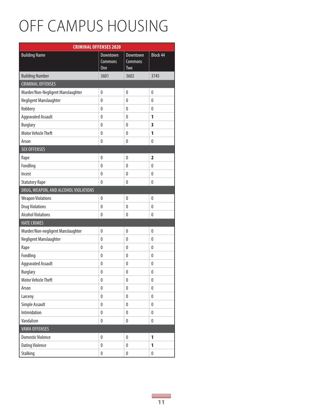#### OFF CAMPUS HOUSING

| <b>CRIMINAL OFFENSES 2020</b>        |                                   |                                   |                         |  |  |  |  |  |  |  |
|--------------------------------------|-----------------------------------|-----------------------------------|-------------------------|--|--|--|--|--|--|--|
| <b>Building Name</b>                 | <b>Downtown</b><br>Commons<br>One | Downtown<br>Commons<br><b>Two</b> | <b>Block 44</b>         |  |  |  |  |  |  |  |
| <b>Building Number</b>               | 3601                              | 3602                              | 3745                    |  |  |  |  |  |  |  |
| <b>CRIMINAL OFFENSES</b>             |                                   |                                   |                         |  |  |  |  |  |  |  |
| Murder/Non-Negligent Manslaughter    | $\pmb{0}$                         | $\pmb{0}$                         | $\pmb{0}$               |  |  |  |  |  |  |  |
| Negligent Manslaughter               | $\mathbf{0}$                      | $\mathbf{0}$                      | 0                       |  |  |  |  |  |  |  |
| Robbery                              | $\mathbf{0}$                      | 0                                 | $\mathbf{0}$            |  |  |  |  |  |  |  |
| <b>Aggravated Assault</b>            | $\mathbf{0}$                      | 0                                 | 1                       |  |  |  |  |  |  |  |
| <b>Burglary</b>                      | $\pmb{0}$                         | 0                                 | $\overline{\mathbf{3}}$ |  |  |  |  |  |  |  |
| <b>Motor Vehicle Theft</b>           | $\pmb{0}$                         | 0                                 | 1                       |  |  |  |  |  |  |  |
| Arson                                | $\pmb{0}$                         | 0                                 | $\pmb{0}$               |  |  |  |  |  |  |  |
| <b>SEX OFFENSES</b>                  |                                   |                                   |                         |  |  |  |  |  |  |  |
| Rape                                 | $\pmb{0}$                         | $\pmb{0}$                         | $\overline{\mathbf{2}}$ |  |  |  |  |  |  |  |
| Fondling                             | $\mathbf{0}$                      | 0                                 | $\mathbf{0}$            |  |  |  |  |  |  |  |
| Incest                               | $\mathbf{0}$                      | $\mathbf{0}$                      | $\mathbf{0}$            |  |  |  |  |  |  |  |
| <b>Statutory Rape</b>                | $\pmb{0}$                         | 0                                 | $\mathbf{0}$            |  |  |  |  |  |  |  |
| DRUG, WEAPON, AND ALCOHOL VIOLATIONS |                                   |                                   |                         |  |  |  |  |  |  |  |
| <b>Weapon Violations</b>             | $\mathbf{0}$                      | $\mathbf{0}$                      | $\mathbf{0}$            |  |  |  |  |  |  |  |
| <b>Drug Violations</b>               | $\pmb{0}$                         | $\mathbf{0}$                      | $\mathbf{0}$            |  |  |  |  |  |  |  |
| <b>Alcohol Violations</b>            | $\mathbf{0}$                      | $\mathbf{0}$                      | $\mathbf{0}$            |  |  |  |  |  |  |  |
| <b>HATE CRIMES</b>                   |                                   |                                   |                         |  |  |  |  |  |  |  |
| Murder/Non-negligent Manslaughter    | $\pmb{0}$                         | 0                                 | $\pmb{0}$               |  |  |  |  |  |  |  |
| Negligent Manslaughter               | $\mathbf{0}$                      | 0                                 | $\mathbf{0}$            |  |  |  |  |  |  |  |
| Rape                                 | $\pmb{0}$                         | $\mathbf{0}$                      | 0                       |  |  |  |  |  |  |  |
| Fondling                             | $\pmb{0}$                         | 0                                 | $\mathbf 0$             |  |  |  |  |  |  |  |
| <b>Aggravated Assault</b>            | $\pmb{0}$                         | $\mathbf{0}$                      | $\mathbf{0}$            |  |  |  |  |  |  |  |
| <b>Burglary</b>                      | $\mathbf{0}$                      | 0                                 | $\mathbf{0}$            |  |  |  |  |  |  |  |
| Motor Vehicle Theft                  | 0                                 | 0                                 | 0                       |  |  |  |  |  |  |  |
| Arson                                | 0                                 | 0                                 | $\pmb{0}$               |  |  |  |  |  |  |  |
| Larceny                              | $\pmb{0}$                         | 0                                 | $\pmb{0}$               |  |  |  |  |  |  |  |
| Simple Assault                       | $\pmb{0}$                         | $\pmb{0}$                         | $\pmb{0}$               |  |  |  |  |  |  |  |
| Intimidation                         | 0                                 | 0                                 | $\pmb{0}$               |  |  |  |  |  |  |  |
| Vandalism                            | 0                                 | 0                                 | 0                       |  |  |  |  |  |  |  |
| <b>VAWA OFFENSES</b>                 |                                   |                                   |                         |  |  |  |  |  |  |  |
| <b>Domestic Violence</b>             | $\pmb{0}$                         | 0                                 | 1                       |  |  |  |  |  |  |  |
| <b>Dating Violence</b>               | $\pmb{0}$                         | 0                                 | 1                       |  |  |  |  |  |  |  |
| Stalking                             | 0                                 | 0                                 | $\pmb{0}$               |  |  |  |  |  |  |  |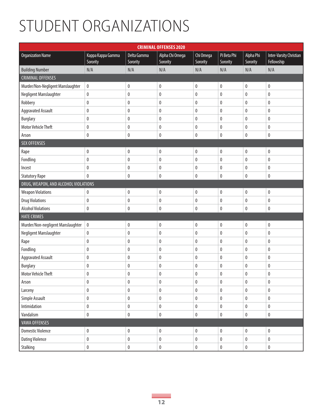#### STUDENT ORGANIZATIONS

| <b>CRIMINAL OFFENSES 2020</b>        |                               |                         |                             |                       |                         |                       |                                       |  |  |
|--------------------------------------|-------------------------------|-------------------------|-----------------------------|-----------------------|-------------------------|-----------------------|---------------------------------------|--|--|
| <b>Organization Name</b>             | Kappa Kappa Gamma<br>Sorority | Delta Gamma<br>Sorority | Alpha Chi Omega<br>Sorority | Chi Omega<br>Sorority | Pi Beta Phi<br>Sorority | Alpha Phi<br>Sorority | Inter-Varsity Christian<br>Fellowship |  |  |
| <b>Building Number</b>               | N/A                           | N/A                     | N/A                         | N/A                   | N/A                     | N/A                   | N/A                                   |  |  |
| <b>CRIMINAL OFFENSES</b>             |                               |                         |                             |                       |                         |                       |                                       |  |  |
| Murder/Non-Negligent Manslaughter    | $\pmb{0}$                     | $\pmb{0}$               | $\pmb{0}$                   | $\mathbf 0$           | $\pmb{0}$               | $\pmb{0}$             | $\pmb{0}$                             |  |  |
| Negligent Manslaughter               | $\pmb{0}$                     | $\pmb{0}$               | $\pmb{0}$                   | $\pmb{0}$             | $\pmb{0}$               | $\pmb{0}$             | $\pmb{0}$                             |  |  |
| Robbery                              | $\pmb{0}$                     | 0                       | $\pmb{0}$                   | 0                     | 0                       | $\pmb{0}$             | $\pmb{0}$                             |  |  |
| <b>Aggravated Assault</b>            | $\pmb{0}$                     | 0                       | $\pmb{0}$                   | 0                     | 0                       | $\mathbf{0}$          | $\pmb{0}$                             |  |  |
| <b>Burglary</b>                      | $\pmb{0}$                     | 0                       | $\pmb{0}$                   | 0                     | 0                       | $\pmb{0}$             | $\pmb{0}$                             |  |  |
| <b>Motor Vehicle Theft</b>           | $\pmb{0}$                     | $\pmb{0}$               | $\pmb{0}$                   | 0                     | 0                       | $\pmb{0}$             | $\pmb{0}$                             |  |  |
| Arson                                | $\pmb{0}$                     | 0                       | $\pmb{0}$                   | $\mathbf 0$           | $\pmb{0}$               | $\pmb{0}$             | $\pmb{0}$                             |  |  |
| <b>SEX OFFENSES</b>                  |                               |                         |                             |                       |                         |                       |                                       |  |  |
| Rape                                 | 0                             | 0                       | 0                           | $\mathbf{0}$          | 0                       | $\pmb{0}$             | $\pmb{0}$                             |  |  |
| Fondling                             | $\pmb{0}$                     | 0                       | $\pmb{0}$                   | $\mathbf{0}$          | 0                       | $\bf{0}$              | 0                                     |  |  |
| Incest                               | 0                             | 0                       | $\pmb{0}$                   | 0                     | 0                       | $\pmb{0}$             | $\pmb{0}$                             |  |  |
| <b>Statutory Rape</b>                | $\pmb{0}$                     | 0                       | $\pmb{0}$                   | 0                     | 0                       | $\pmb{0}$             | $\pmb{0}$                             |  |  |
| DRUG, WEAPON, AND ALCOHOL VIOLATIONS |                               |                         |                             |                       |                         |                       |                                       |  |  |
| <b>Weapon Violations</b>             | 0                             | $\pmb{0}$               | $\pmb{0}$                   | 0                     | 0                       | $\pmb{0}$             | $\pmb{0}$                             |  |  |
| <b>Drug Violations</b>               | $\pmb{0}$                     | $\pmb{0}$               | $\pmb{0}$                   | 0                     | 0                       | $\pmb{0}$             | $\pmb{0}$                             |  |  |
| <b>Alcohol Violations</b>            | $\pmb{0}$                     | 0                       | $\mathbf 0$                 | 0                     | 0                       | $\pmb{0}$             | $\pmb{0}$                             |  |  |
| <b>HATE CRIMES</b>                   |                               |                         |                             |                       |                         |                       |                                       |  |  |
| Murder/Non-negligent Manslaughter    | $\pmb{0}$                     | $\pmb{0}$               | $\pmb{0}$                   | $\pmb{0}$             | $\pmb{0}$               | $\pmb{0}$             | $\pmb{0}$                             |  |  |
| Negligent Manslaughter               | $\pmb{0}$                     | $\pmb{0}$               | $\pmb{0}$                   | $\mathbf 0$           | $\pmb{0}$               | $\pmb{0}$             | $\pmb{0}$                             |  |  |
| Rape                                 | $\pmb{0}$                     | 0                       | $\pmb{0}$                   | 0                     | 0                       | $\pmb{0}$             | $\pmb{0}$                             |  |  |
| Fondling                             | $\pmb{0}$                     | 0                       | $\pmb{0}$                   | 0                     | 0                       | $\bf{0}$              | $\pmb{0}$                             |  |  |
| <b>Aggravated Assault</b>            | $\pmb{0}$                     | 0                       | 0                           | 0                     | 0                       | $\pmb{0}$             | $\pmb{0}$                             |  |  |
| <b>Burglary</b>                      | $\pmb{0}$                     | 0                       | $\boldsymbol{0}$            | 0                     | 0                       | $\pmb{0}$             | $\pmb{0}$                             |  |  |
| Motor Vehicle Theft                  | 0                             | $\pmb{0}$               | $\pmb{0}$                   | 0                     | 0                       | $\mathbf{0}$          | 0                                     |  |  |
| Arson                                | $\pmb{0}$                     | $\pmb{0}$               | $\pmb{0}$                   | $\pmb{0}$             | $\pmb{0}$               | $\pmb{0}$             | $\pmb{0}$                             |  |  |
| Larceny                              | $\pmb{0}$                     | $\pmb{0}$               | $\pmb{0}$                   | $\pmb{0}$             | 0                       | $\pmb{0}$             | $\pmb{0}$                             |  |  |
| Simple Assault                       | $\pmb{0}$                     | $\pmb{0}$               | $\pmb{0}$                   | $\pmb{0}$             | 0                       | $\pmb{0}$             | $\pmb{0}$                             |  |  |
| Intimidation                         | $\pmb{0}$                     | $\pmb{0}$               | $\pmb{0}$                   | $\pmb{0}$             | 0                       | $\pmb{0}$             | $\pmb{0}$                             |  |  |
| Vandalism                            | $\pmb{0}$                     | $\pmb{0}$               | $\pmb{0}$                   | $\pmb{0}$             | $\pmb{0}$               | $\pmb{0}$             | $\pmb{0}$                             |  |  |
| <b>VAWA OFFENSES</b>                 |                               |                         |                             |                       |                         |                       |                                       |  |  |
| <b>Domestic Violence</b>             | $\pmb{0}$                     | $\pmb{0}$               | $\pmb{0}$                   | $\pmb{0}$             | $\pmb{0}$               | $\pmb{0}$             | $\pmb{0}$                             |  |  |
| <b>Dating Violence</b>               | $\pmb{0}$                     | $\pmb{0}$               | $\pmb{0}$                   | $\pmb{0}$             | $\pmb{0}$               | $\pmb{0}$             | $\pmb{0}$                             |  |  |
| Stalking                             | $\pmb{0}$                     | $\pmb{0}$               | $\pmb{0}$                   | 0                     | $\pmb{0}$               | $\pmb{0}$             | $\pmb{0}$                             |  |  |